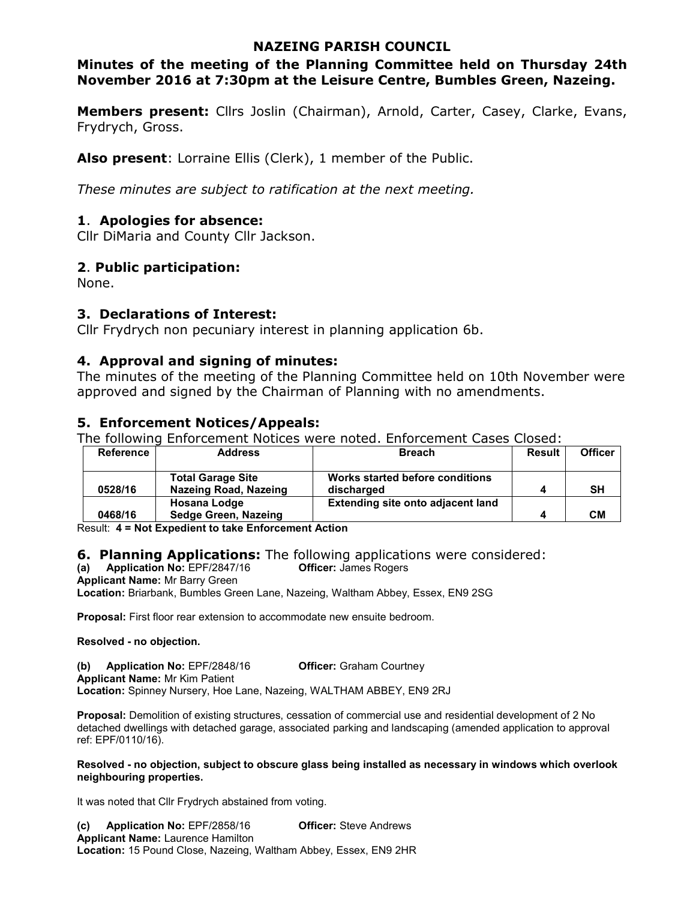## **NAZEING PARISH COUNCIL**

## **Minutes of the meeting of the Planning Committee held on Thursday 24th November 2016 at 7:30pm at the Leisure Centre, Bumbles Green, Nazeing.**

**Members present:** Cllrs Joslin (Chairman), Arnold, Carter, Casey, Clarke, Evans, Frydrych, Gross.

**Also present**: Lorraine Ellis (Clerk), 1 member of the Public.

*These minutes are subject to ratification at the next meeting.*

## **1**. **Apologies for absence:**

Cllr DiMaria and County Cllr Jackson.

## **2**. **Public participation:**

None.

## **3. Declarations of Interest:**

Cllr Frydrych non pecuniary interest in planning application 6b.

## **4. Approval and signing of minutes:**

The minutes of the meeting of the Planning Committee held on 10th November were approved and signed by the Chairman of Planning with no amendments.

## **5. Enforcement Notices/Appeals:**

The following Enforcement Notices were noted. Enforcement Cases Closed:

| <b>Reference</b> | <b>Address</b>               | <b>Breach</b>                     | <b>Result</b> | <b>Officer</b> |
|------------------|------------------------------|-----------------------------------|---------------|----------------|
|                  |                              |                                   |               |                |
|                  | <b>Total Garage Site</b>     | Works started before conditions   |               |                |
| 0528/16          | <b>Nazeing Road, Nazeing</b> | discharged                        |               | <b>SH</b>      |
|                  | <b>Hosana Lodge</b>          | Extending site onto adjacent land |               |                |
| 0468/16          | Sedge Green, Nazeing         |                                   | 4             | CМ             |

Result: **4 = Not Expedient to take Enforcement Action** 

# **6. Planning Applications:** The following applications were considered:<br>(a) Application No: EPF/2847/16 **Officer:** James Rogers

**(a)** Application No: EPF/2847/16

**Applicant Name:** Mr Barry Green

**Location:** Briarbank, Bumbles Green Lane, Nazeing, Waltham Abbey, Essex, EN9 2SG

**Proposal:** First floor rear extension to accommodate new ensuite bedroom.

#### **Resolved - no objection.**

**(b) Application No:** EPF/2848/16 **Officer:** Graham Courtney

**Applicant Name:** Mr Kim Patient

**Location:** Spinney Nursery, Hoe Lane, Nazeing, WALTHAM ABBEY, EN9 2RJ

**Proposal:** Demolition of existing structures, cessation of commercial use and residential development of 2 No detached dwellings with detached garage, associated parking and landscaping (amended application to approval ref: EPF/0110/16).

#### **Resolved - no objection, subject to obscure glass being installed as necessary in windows which overlook neighbouring properties.**

It was noted that Cllr Frydrych abstained from voting.